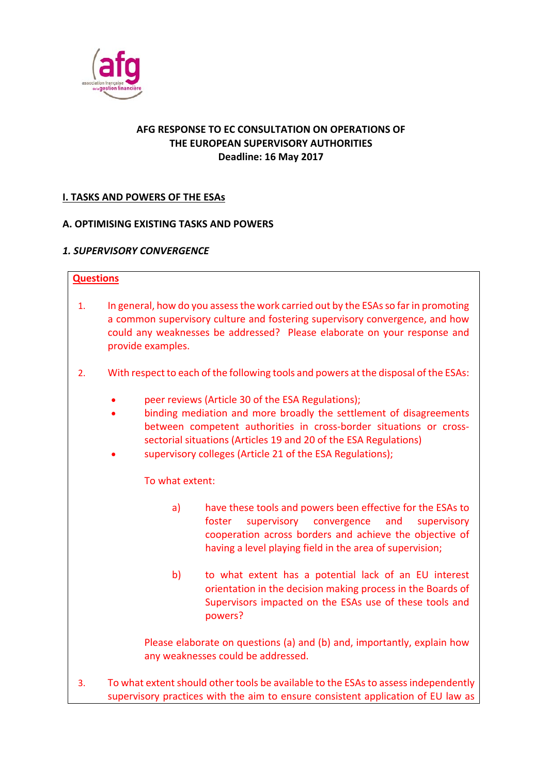

## **AFG RESPONSE TO EC CONSULTATION ON OPERATIONS OF THE EUROPEAN SUPERVISORY AUTHORITIES Deadline: 16 May 2017**

# **I. TASKS AND POWERS OF THE ESAs**

### **A. OPTIMISING EXISTING TASKS AND POWERS**

#### *1. SUPERVISORY CONVERGENCE*

#### **Questions**

- 1. In general, how do you assess the work carried out by the ESAs so far in promoting a common supervisory culture and fostering supervisory convergence, and how could any weaknesses be addressed? Please elaborate on your response and provide examples.
- 2. With respect to each of the following tools and powers at the disposal of the ESAs:
	- peer reviews (Article 30 of the ESA Regulations);
	- binding mediation and more broadly the settlement of disagreements between competent authorities in cross-border situations or crosssectorial situations (Articles 19 and 20 of the ESA Regulations)
	- supervisory colleges (Article 21 of the ESA Regulations);

#### To what extent:

- a) have these tools and powers been effective for the ESAs to foster supervisory convergence and supervisory cooperation across borders and achieve the objective of having a level playing field in the area of supervision;
- b) to what extent has a potential lack of an EU interest orientation in the decision making process in the Boards of Supervisors impacted on the ESAs use of these tools and powers?

Please elaborate on questions (a) and (b) and, importantly, explain how any weaknesses could be addressed.

3. To what extent should other tools be available to the ESAs to assess independently supervisory practices with the aim to ensure consistent application of EU law as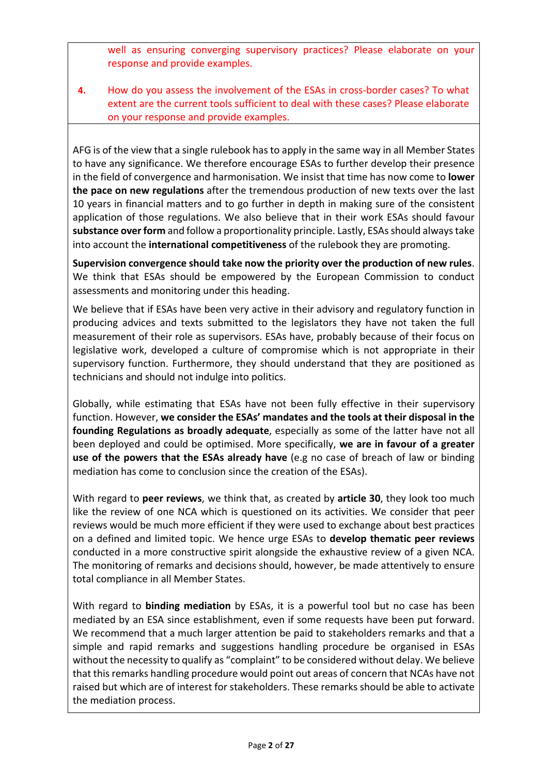well as ensuring converging supervisory practices? Please elaborate on your response and provide examples.

**4.** How do you assess the involvement of the ESAs in cross‐border cases? To what extent are the current tools sufficient to deal with these cases? Please elaborate on your response and provide examples.

AFG is of the view that a single rulebook has to apply in the same way in all Member States to have any significance. We therefore encourage ESAs to further develop their presence in the field of convergence and harmonisation. We insist that time has now come to **lower the pace on new regulations** after the tremendous production of new texts over the last 10 years in financial matters and to go further in depth in making sure of the consistent application of those regulations. We also believe that in their work ESAs should favour **substance over form** and follow a proportionality principle. Lastly, ESAs should always take into account the **international competitiveness** of the rulebook they are promoting.

**Supervision convergence should take now the priority over the production of new rules**. We think that ESAs should be empowered by the European Commission to conduct assessments and monitoring under this heading.

We believe that if ESAs have been very active in their advisory and regulatory function in producing advices and texts submitted to the legislators they have not taken the full measurement of their role as supervisors. ESAs have, probably because of their focus on legislative work, developed a culture of compromise which is not appropriate in their supervisory function. Furthermore, they should understand that they are positioned as technicians and should not indulge into politics.

Globally, while estimating that ESAs have not been fully effective in their supervisory function. However, **we consider the ESAs' mandates and the tools at their disposal in the founding Regulations as broadly adequate**, especially as some of the latter have not all been deployed and could be optimised. More specifically, **we are in favour of a greater use of the powers that the ESAs already have** (e.g no case of breach of law or binding mediation has come to conclusion since the creation of the ESAs).

With regard to **peer reviews**, we think that, as created by **article 30**, they look too much like the review of one NCA which is questioned on its activities. We consider that peer reviews would be much more efficient if they were used to exchange about best practices on a defined and limited topic. We hence urge ESAs to **develop thematic peer reviews** conducted in a more constructive spirit alongside the exhaustive review of a given NCA. The monitoring of remarks and decisions should, however, be made attentively to ensure total compliance in all Member States.

With regard to **binding mediation** by ESAs, it is a powerful tool but no case has been mediated by an ESA since establishment, even if some requests have been put forward. We recommend that a much larger attention be paid to stakeholders remarks and that a simple and rapid remarks and suggestions handling procedure be organised in ESAs without the necessity to qualify as "complaint" to be considered without delay. We believe that this remarks handling procedure would point out areas of concern that NCAs have not raised but which are of interest for stakeholders. These remarks should be able to activate the mediation process.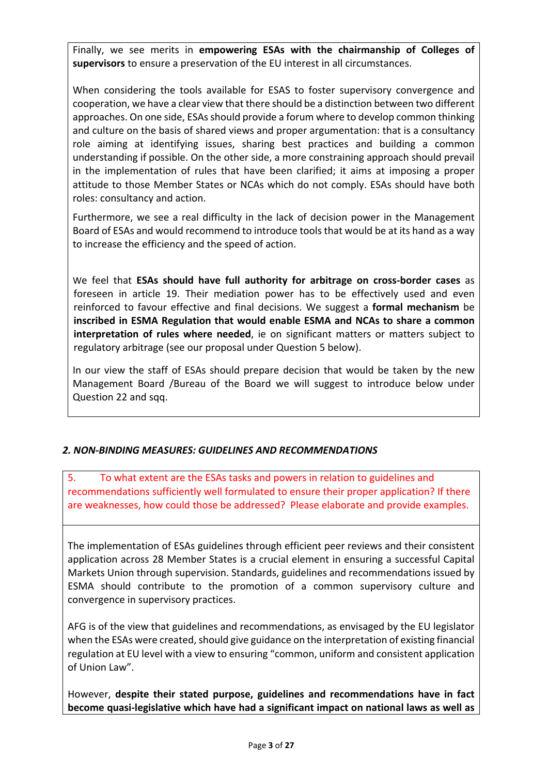Finally, we see merits in **empowering ESAs with the chairmanship of Colleges of supervisors** to ensure a preservation of the EU interest in all circumstances.

When considering the tools available for ESAS to foster supervisory convergence and cooperation, we have a clear view that there should be a distinction between two different approaches. On one side, ESAs should provide a forum where to develop common thinking and culture on the basis of shared views and proper argumentation: that is a consultancy role aiming at identifying issues, sharing best practices and building a common understanding if possible. On the other side, a more constraining approach should prevail in the implementation of rules that have been clarified; it aims at imposing a proper attitude to those Member States or NCAs which do not comply. ESAs should have both roles: consultancy and action.

Furthermore, we see a real difficulty in the lack of decision power in the Management Board of ESAs and would recommend to introduce tools that would be at its hand as a way to increase the efficiency and the speed of action.

We feel that **ESAs should have full authority for arbitrage on cross-border cases** as foreseen in article 19. Their mediation power has to be effectively used and even reinforced to favour effective and final decisions. We suggest a **formal mechanism** be **inscribed in ESMA Regulation that would enable ESMA and NCAs to share a common interpretation of rules where needed**, ie on significant matters or matters subject to regulatory arbitrage (see our proposal under Question 5 below).

In our view the staff of ESAs should prepare decision that would be taken by the new Management Board /Bureau of the Board we will suggest to introduce below under Question 22 and sqq.

### *2. NON‐BINDING MEASURES: GUIDELINES AND RECOMMENDATIONS*

5. To what extent are the ESAs tasks and powers in relation to guidelines and recommendations sufficiently well formulated to ensure their proper application? If there are weaknesses, how could those be addressed? Please elaborate and provide examples.

The implementation of ESAs guidelines through efficient peer reviews and their consistent application across 28 Member States is a crucial element in ensuring a successful Capital Markets Union through supervision. Standards, guidelines and recommendations issued by ESMA should contribute to the promotion of a common supervisory culture and convergence in supervisory practices.

AFG is of the view that guidelines and recommendations, as envisaged by the EU legislator when the ESAs were created, should give guidance on the interpretation of existing financial regulation at EU level with a view to ensuring "common, uniform and consistent application of Union Law".

However, **despite their stated purpose, guidelines and recommendations have in fact become quasi‐legislative which have had a significant impact on national laws as well as**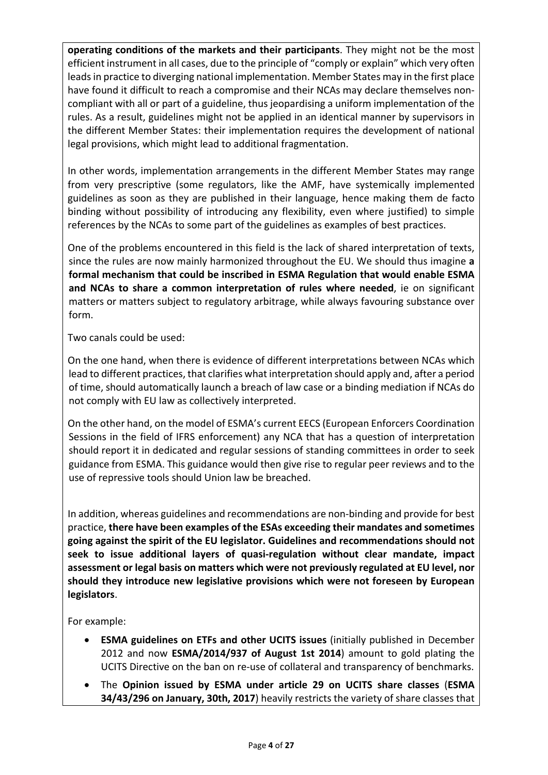**operating conditions of the markets and their participants**. They might not be the most efficient instrument in all cases, due to the principle of "comply or explain" which very often leads in practice to diverging national implementation. Member States may in the first place have found it difficult to reach a compromise and their NCAs may declare themselves non‐ compliant with all or part of a guideline, thus jeopardising a uniform implementation of the rules. As a result, guidelines might not be applied in an identical manner by supervisors in the different Member States: their implementation requires the development of national legal provisions, which might lead to additional fragmentation.

In other words, implementation arrangements in the different Member States may range from very prescriptive (some regulators, like the AMF, have systemically implemented guidelines as soon as they are published in their language, hence making them de facto binding without possibility of introducing any flexibility, even where justified) to simple references by the NCAs to some part of the guidelines as examples of best practices.

One of the problems encountered in this field is the lack of shared interpretation of texts, since the rules are now mainly harmonized throughout the EU. We should thus imagine **a formal mechanism that could be inscribed in ESMA Regulation that would enable ESMA and NCAs to share a common interpretation of rules where needed**, ie on significant matters or matters subject to regulatory arbitrage, while always favouring substance over form.

Two canals could be used:

On the one hand, when there is evidence of different interpretations between NCAs which lead to different practices, that clarifies what interpretation should apply and, after a period of time, should automatically launch a breach of law case or a binding mediation if NCAs do not comply with EU law as collectively interpreted.

On the other hand, on the model of ESMA's current EECS (European Enforcers Coordination Sessions in the field of IFRS enforcement) any NCA that has a question of interpretation should report it in dedicated and regular sessions of standing committees in order to seek guidance from ESMA. This guidance would then give rise to regular peer reviews and to the use of repressive tools should Union law be breached.

In addition, whereas guidelines and recommendations are non‐binding and provide for best practice, **there have been examples of the ESAs exceeding their mandates and sometimes going against the spirit of the EU legislator. Guidelines and recommendations should not seek to issue additional layers of quasi‐regulation without clear mandate, impact assessment or legal basis on matters which were not previously regulated at EU level, nor should they introduce new legislative provisions which were not foreseen by European legislators**.

For example:

- **ESMA guidelines on ETFs and other UCITS issues** (initially published in December 2012 and now **ESMA/2014/937 of August 1st 2014**) amount to gold plating the UCITS Directive on the ban on re‐use of collateral and transparency of benchmarks.
- The **Opinion issued by ESMA under article 29 on UCITS share classes** (**ESMA 34/43/296 on January, 30th, 2017**) heavily restricts the variety of share classes that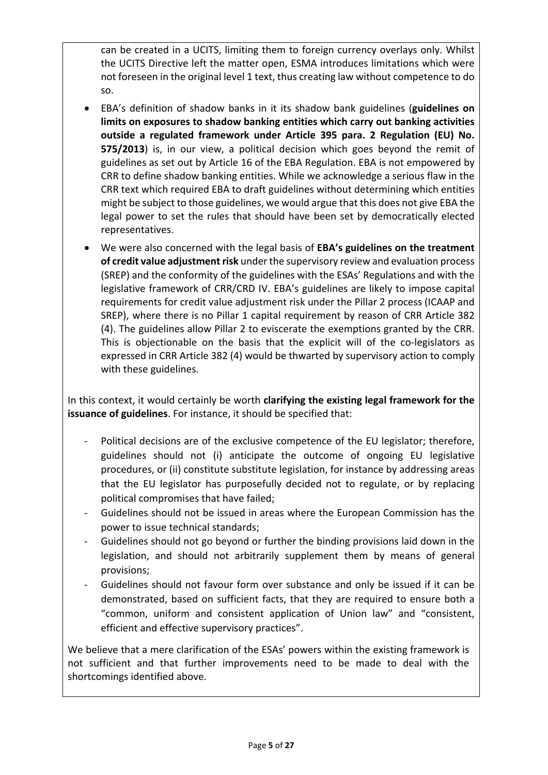can be created in a UCITS, limiting them to foreign currency overlays only. Whilst the UCITS Directive left the matter open, ESMA introduces limitations which were not foreseen in the original level 1 text, thus creating law without competence to do so.

- EBA's definition of shadow banks in it its shadow bank guidelines (**guidelines on limits on exposures to shadow banking entities which carry out banking activities outside a regulated framework under Article 395 para. 2 Regulation (EU) No. 575/2013**) is, in our view, a political decision which goes beyond the remit of guidelines as set out by Article 16 of the EBA Regulation. EBA is not empowered by CRR to define shadow banking entities. While we acknowledge a serious flaw in the CRR text which required EBA to draft guidelines without determining which entities might be subject to those guidelines, we would argue that this does not give EBA the legal power to set the rules that should have been set by democratically elected representatives.
- We were also concerned with the legal basis of **EBA's guidelines on the treatment of credit value adjustment risk** under the supervisory review and evaluation process (SREP) and the conformity of the guidelines with the ESAs' Regulations and with the legislative framework of CRR/CRD IV. EBA's guidelines are likely to impose capital requirements for credit value adjustment risk under the Pillar 2 process (ICAAP and SREP), where there is no Pillar 1 capital requirement by reason of CRR Article 382 (4). The guidelines allow Pillar 2 to eviscerate the exemptions granted by the CRR. This is objectionable on the basis that the explicit will of the co-legislators as expressed in CRR Article 382 (4) would be thwarted by supervisory action to comply with these guidelines.

In this context, it would certainly be worth **clarifying the existing legal framework for the issuance of guidelines**. For instance, it should be specified that:

- ‐ Political decisions are of the exclusive competence of the EU legislator; therefore, guidelines should not (i) anticipate the outcome of ongoing EU legislative procedures, or (ii) constitute substitute legislation, for instance by addressing areas that the EU legislator has purposefully decided not to regulate, or by replacing political compromises that have failed;
- ‐ Guidelines should not be issued in areas where the European Commission has the power to issue technical standards;
- ‐ Guidelines should not go beyond or further the binding provisions laid down in the legislation, and should not arbitrarily supplement them by means of general provisions;
- ‐ Guidelines should not favour form over substance and only be issued if it can be demonstrated, based on sufficient facts, that they are required to ensure both a "common, uniform and consistent application of Union law" and "consistent, efficient and effective supervisory practices".

We believe that a mere clarification of the ESAs' powers within the existing framework is not sufficient and that further improvements need to be made to deal with the shortcomings identified above.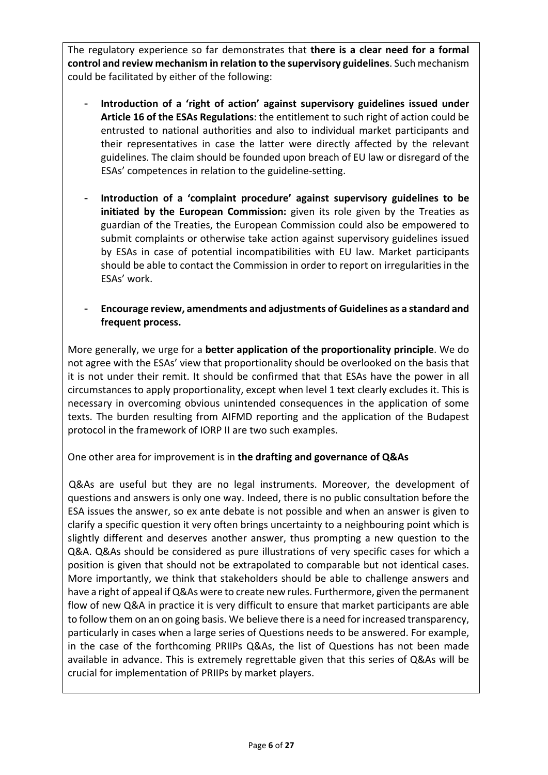The regulatory experience so far demonstrates that **there is a clear need for a formal control and review mechanism in relation to the supervisory guidelines**. Such mechanism could be facilitated by either of the following:

- **Introduction of a 'right of action' against supervisory guidelines issued under Article 16 of the ESAs Regulations**: the entitlement to such right of action could be entrusted to national authorities and also to individual market participants and their representatives in case the latter were directly affected by the relevant guidelines. The claim should be founded upon breach of EU law or disregard of the ESAs' competences in relation to the guideline‐setting.
- **Introduction of a 'complaint procedure' against supervisory guidelines to be initiated by the European Commission:**  given its role given by the Treaties as guardian of the Treaties, the European Commission could also be empowered to submit complaints or otherwise take action against supervisory guidelines issued by ESAs in case of potential incompatibilities with EU law. Market participants should be able to contact the Commission in order to report on irregularities in the ESAs' work.
- **Encourage review, amendments and adjustments of Guidelines as a standard and frequent process.**

More generally, we urge for a **better application of the proportionality principle**. We do not agree with the ESAs' view that proportionality should be overlooked on the basis that it is not under their remit. It should be confirmed that that ESAs have the power in all circumstances to apply proportionality, except when level 1 text clearly excludes it. This is necessary in overcoming obvious unintended consequences in the application of some texts. The burden resulting from AIFMD reporting and the application of the Budapest protocol in the framework of IORP II are two such examples.

One other area for improvement is in **the drafting and governance of Q&As**

Q&As are useful but they are no legal instruments. Moreover, the development of questions and answers is only one way. Indeed, there is no public consultation before the ESA issues the answer, so ex ante debate is not possible and when an answer is given to clarify a specific question it very often brings uncertainty to a neighbouring point which is slightly different and deserves another answer, thus prompting a new question to the Q&A. Q&As should be considered as pure illustrations of very specific cases for which a position is given that should not be extrapolated to comparable but not identical cases. More importantly, we think that stakeholders should be able to challenge answers and have a right of appeal if Q&As were to create new rules. Furthermore, given the permanent flow of new Q&A in practice it is very difficult to ensure that market participants are able to follow them on an on going basis. We believe there is a need for increased transparency, particularly in cases when a large series of Questions needs to be answered. For example, in the case of the forthcoming PRIIPs Q&As, the list of Questions has not been made available in advance. This is extremely regrettable given that this series of Q&As will be crucial for implementation of PRIIPs by market players.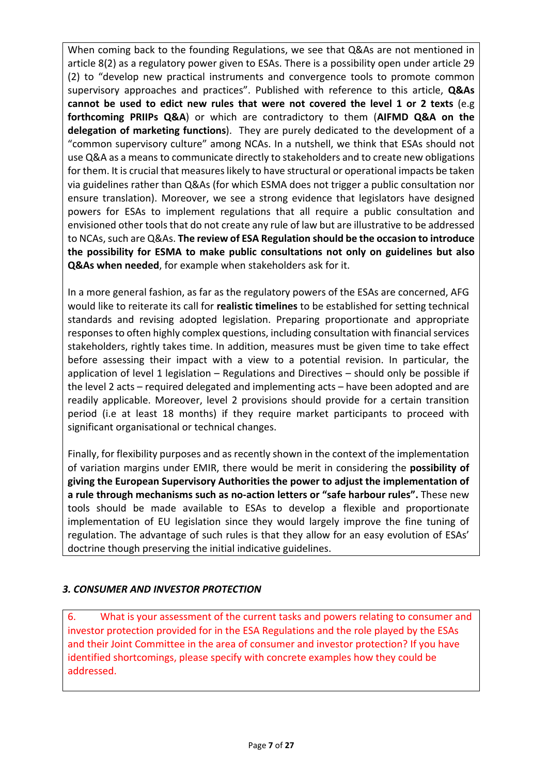When coming back to the founding Regulations, we see that Q&As are not mentioned in article 8(2) as a regulatory power given to ESAs. There is a possibility open under article 29 (2) to "develop new practical instruments and convergence tools to promote common supervisory approaches and practices". Published with reference to this article, **Q&As cannot be used to edict new rules that were not covered the level 1 or 2 texts** (e.g **forthcoming PRIIPs Q&A**) or which are contradictory to them (**AIFMD Q&A on the delegation of marketing functions**). They are purely dedicated to the development of a "common supervisory culture" among NCAs. In a nutshell, we think that ESAs should not use Q&A as a means to communicate directly to stakeholders and to create new obligations for them. It is crucial that measures likely to have structural or operational impacts be taken via guidelines rather than Q&As (for which ESMA does not trigger a public consultation nor ensure translation). Moreover, we see a strong evidence that legislators have designed powers for ESAs to implement regulations that all require a public consultation and envisioned other tools that do not create any rule of law but are illustrative to be addressed to NCAs, such are Q&As. **The review of ESA Regulation should be the occasion to introduce the possibility for ESMA to make public consultations not only on guidelines but also Q&As when needed**, for example when stakeholders ask for it.

In a more general fashion, as far as the regulatory powers of the ESAs are concerned, AFG would like to reiterate its call for **realistic timelines** to be established for setting technical standards and revising adopted legislation. Preparing proportionate and appropriate responses to often highly complex questions, including consultation with financial services stakeholders, rightly takes time. In addition, measures must be given time to take effect before assessing their impact with a view to a potential revision. In particular, the application of level 1 legislation – Regulations and Directives – should only be possible if the level 2 acts – required delegated and implementing acts – have been adopted and are readily applicable. Moreover, level 2 provisions should provide for a certain transition period (i.e at least 18 months) if they require market participants to proceed with significant organisational or technical changes.

Finally, for flexibility purposes and as recently shown in the context of the implementation of variation margins under EMIR, there would be merit in considering the **possibility of giving the European Supervisory Authorities the power to adjust the implementation of a rule through mechanisms such as no‐action letters or "safe harbour rules".** These new tools should be made available to ESAs to develop a flexible and proportionate implementation of EU legislation since they would largely improve the fine tuning of regulation. The advantage of such rules is that they allow for an easy evolution of ESAs' doctrine though preserving the initial indicative guidelines.

### *3. CONSUMER AND INVESTOR PROTECTION*

6. What is your assessment of the current tasks and powers relating to consumer and investor protection provided for in the ESA Regulations and the role played by the ESAs and their Joint Committee in the area of consumer and investor protection? If you have identified shortcomings, please specify with concrete examples how they could be addressed.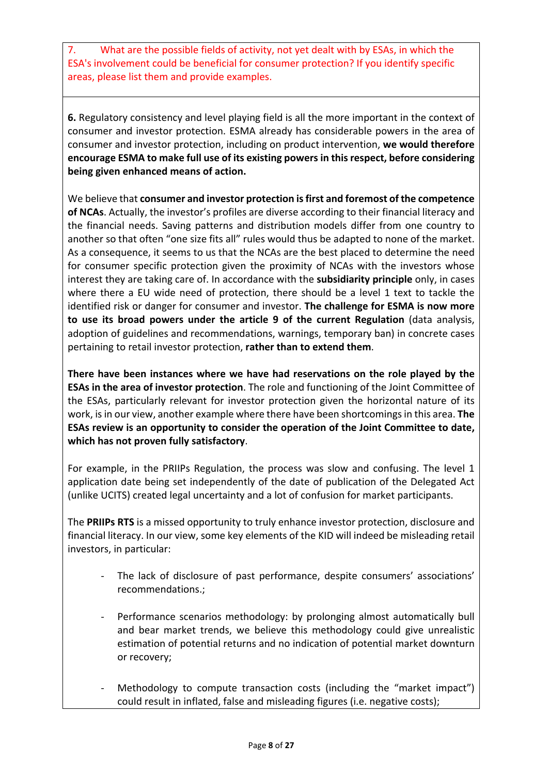7. What are the possible fields of activity, not yet dealt with by ESAs, in which the ESA's involvement could be beneficial for consumer protection? If you identify specific areas, please list them and provide examples.

**6.** Regulatory consistency and level playing field is all the more important in the context of consumer and investor protection. ESMA already has considerable powers in the area of consumer and investor protection, including on product intervention, **we would therefore encourage ESMA to make full use of its existing powers in this respect, before considering being given enhanced means of action.** 

We believe that **consumer and investor protection is first and foremost of the competence of NCAs**. Actually, the investor's profiles are diverse according to their financial literacy and the financial needs. Saving patterns and distribution models differ from one country to another so that often "one size fits all" rules would thus be adapted to none of the market. As a consequence, it seems to us that the NCAs are the best placed to determine the need for consumer specific protection given the proximity of NCAs with the investors whose interest they are taking care of. In accordance with the **subsidiarity principle** only, in cases where there a EU wide need of protection, there should be a level 1 text to tackle the identified risk or danger for consumer and investor. **The challenge for ESMA is now more to use its broad powers under the article 9 of the current Regulation** (data analysis, adoption of guidelines and recommendations, warnings, temporary ban) in concrete cases pertaining to retail investor protection, **rather than to extend them**.

**There have been instances where we have had reservations on the role played by the ESAs in the area of investor protection**. The role and functioning of the Joint Committee of the ESAs, particularly relevant for investor protection given the horizontal nature of its work, is in our view, another example where there have been shortcomings in this area. **The ESAs review is an opportunity to consider the operation of the Joint Committee to date, which has not proven fully satisfactory**.

For example, in the PRIIPs Regulation, the process was slow and confusing. The level 1 application date being set independently of the date of publication of the Delegated Act (unlike UCITS) created legal uncertainty and a lot of confusion for market participants.

The **PRIIPs RTS** is a missed opportunity to truly enhance investor protection, disclosure and financial literacy. In our view, some key elements of the KID will indeed be misleading retail investors, in particular:

- The lack of disclosure of past performance, despite consumers' associations' recommendations.;
- ‐ Performance scenarios methodology: by prolonging almost automatically bull and bear market trends, we believe this methodology could give unrealistic estimation of potential returns and no indication of potential market downturn or recovery;
- Methodology to compute transaction costs (including the "market impact") could result in inflated, false and misleading figures (i.e. negative costs);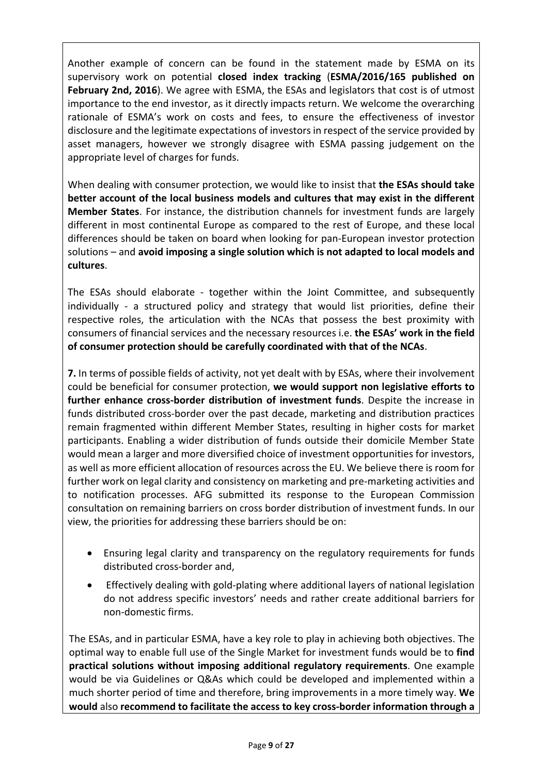Another example of concern can be found in the statement made by ESMA on its supervisory work on potential **closed index tracking** (**ESMA/2016/165 published on February 2nd, 2016**). We agree with ESMA, the ESAs and legislators that cost is of utmost importance to the end investor, as it directly impacts return. We welcome the overarching rationale of ESMA's work on costs and fees, to ensure the effectiveness of investor disclosure and the legitimate expectations of investors in respect of the service provided by asset managers, however we strongly disagree with ESMA passing judgement on the appropriate level of charges for funds.

When dealing with consumer protection, we would like to insist that **the ESAs should take better account of the local business models and cultures that may exist in the different Member States**. For instance, the distribution channels for investment funds are largely different in most continental Europe as compared to the rest of Europe, and these local differences should be taken on board when looking for pan‐European investor protection solutions – and **avoid imposing a single solution which is not adapted to local models and cultures**.

The ESAs should elaborate - together within the Joint Committee, and subsequently individually - a structured policy and strategy that would list priorities, define their respective roles, the articulation with the NCAs that possess the best proximity with consumers of financial services and the necessary resources i.e. **the ESAs' work in the field of consumer protection should be carefully coordinated with that of the NCAs**.

**7.** In terms of possible fields of activity, not yet dealt with by ESAs, where their involvement could be beneficial for consumer protection, **we would support non legislative efforts to**  further enhance cross-border distribution of investment funds. Despite the increase in funds distributed cross-border over the past decade, marketing and distribution practices remain fragmented within different Member States, resulting in higher costs for market participants. Enabling a wider distribution of funds outside their domicile Member State would mean a larger and more diversified choice of investment opportunities for investors, as well as more efficient allocation of resources across the EU. We believe there is room for further work on legal clarity and consistency on marketing and pre-marketing activities and to notification processes. AFG submitted its response to the European Commission consultation on remaining barriers on cross border distribution of investment funds. In our view, the priorities for addressing these barriers should be on:

- Ensuring legal clarity and transparency on the regulatory requirements for funds distributed cross‐border and,
- Effectively dealing with gold‐plating where additional layers of national legislation do not address specific investors' needs and rather create additional barriers for non‐domestic firms.

The ESAs, and in particular ESMA, have a key role to play in achieving both objectives. The optimal way to enable full use of the Single Market for investment funds would be to **find practical solutions without imposing additional regulatory requirements**. One example would be via Guidelines or Q&As which could be developed and implemented within a much shorter period of time and therefore, bring improvements in a more timely way. **We would** also **recommend to facilitate the access to key cross‐border information through a**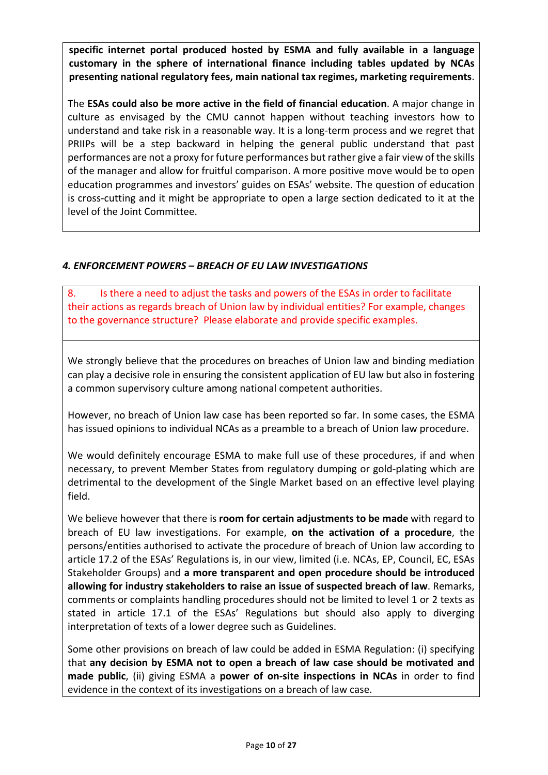**specific internet portal produced hosted by ESMA and fully available in a language customary in the sphere of international finance including tables updated by NCAs presenting national regulatory fees, main national tax regimes, marketing requirements**.

The **ESAs could also be more active in the field of financial education**. A major change in culture as envisaged by the CMU cannot happen without teaching investors how to understand and take risk in a reasonable way. It is a long‐term process and we regret that PRIIPs will be a step backward in helping the general public understand that past performances are not a proxy for future performances but rather give a fair view of the skills of the manager and allow for fruitful comparison. A more positive move would be to open education programmes and investors' guides on ESAs' website. The question of education is cross‐cutting and it might be appropriate to open a large section dedicated to it at the level of the Joint Committee.

# *4. ENFORCEMENT POWERS – BREACH OF EU LAW INVESTIGATIONS*

8. Is there a need to adjust the tasks and powers of the ESAs in order to facilitate their actions as regards breach of Union law by individual entities? For example, changes to the governance structure? Please elaborate and provide specific examples.

We strongly believe that the procedures on breaches of Union law and binding mediation can play a decisive role in ensuring the consistent application of EU law but also in fostering a common supervisory culture among national competent authorities.

However, no breach of Union law case has been reported so far. In some cases, the ESMA has issued opinions to individual NCAs as a preamble to a breach of Union law procedure.

We would definitely encourage ESMA to make full use of these procedures, if and when necessary, to prevent Member States from regulatory dumping or gold‐plating which are detrimental to the development of the Single Market based on an effective level playing field.

We believe however that there is **room for certain adjustments to be made** with regard to breach of EU law investigations. For example, **on the activation of a procedure**, the persons/entities authorised to activate the procedure of breach of Union law according to article 17.2 of the ESAs' Regulations is, in our view, limited (i.e. NCAs, EP, Council, EC, ESAs Stakeholder Groups) and **a more transparent and open procedure should be introduced allowing for industry stakeholders to raise an issue of suspected breach of law**. Remarks, comments or complaints handling procedures should not be limited to level 1 or 2 texts as stated in article 17.1 of the ESAs' Regulations but should also apply to diverging interpretation of texts of a lower degree such as Guidelines.

Some other provisions on breach of law could be added in ESMA Regulation: (i) specifying that **any decision by ESMA not to open a breach of law case should be motivated and made public**, (ii) giving ESMA a **power of on‐site inspections in NCAs** in order to find evidence in the context of its investigations on a breach of law case.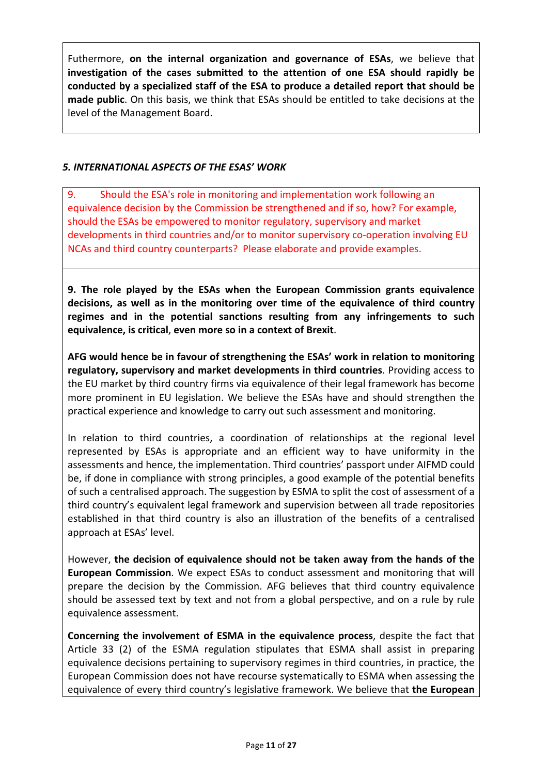Futhermore, **on the internal organization and governance of ESAs**, we believe that **investigation of the cases submitted to the attention of one ESA should rapidly be conducted by a specialized staff of the ESA to produce a detailed report that should be made public**. On this basis, we think that ESAs should be entitled to take decisions at the level of the Management Board.

#### *5. INTERNATIONAL ASPECTS OF THE ESAS' WORK*

9. Should the ESA's role in monitoring and implementation work following an equivalence decision by the Commission be strengthened and if so, how? For example, should the ESAs be empowered to monitor regulatory, supervisory and market developments in third countries and/or to monitor supervisory co-operation involving EU NCAs and third country counterparts? Please elaborate and provide examples.

**9. The role played by the ESAs when the European Commission grants equivalence decisions, as well as in the monitoring over time of the equivalence of third country regimes and in the potential sanctions resulting from any infringements to such equivalence, is critical**, **even more so in a context of Brexit**.

**AFG would hence be in favour of strengthening the ESAs' work in relation to monitoring regulatory, supervisory and market developments in third countries**. Providing access to the EU market by third country firms via equivalence of their legal framework has become more prominent in EU legislation. We believe the ESAs have and should strengthen the practical experience and knowledge to carry out such assessment and monitoring.

In relation to third countries, a coordination of relationships at the regional level represented by ESAs is appropriate and an efficient way to have uniformity in the assessments and hence, the implementation. Third countries' passport under AIFMD could be, if done in compliance with strong principles, a good example of the potential benefits of such a centralised approach. The suggestion by ESMA to split the cost of assessment of a third country's equivalent legal framework and supervision between all trade repositories established in that third country is also an illustration of the benefits of a centralised approach at ESAs' level.

However, **the decision of equivalence should not be taken away from the hands of the European Commission**. We expect ESAs to conduct assessment and monitoring that will prepare the decision by the Commission. AFG believes that third country equivalence should be assessed text by text and not from a global perspective, and on a rule by rule equivalence assessment.

**Concerning the involvement of ESMA in the equivalence process**, despite the fact that Article 33 (2) of the ESMA regulation stipulates that ESMA shall assist in preparing equivalence decisions pertaining to supervisory regimes in third countries, in practice, the European Commission does not have recourse systematically to ESMA when assessing the equivalence of every third country's legislative framework. We believe that **the European**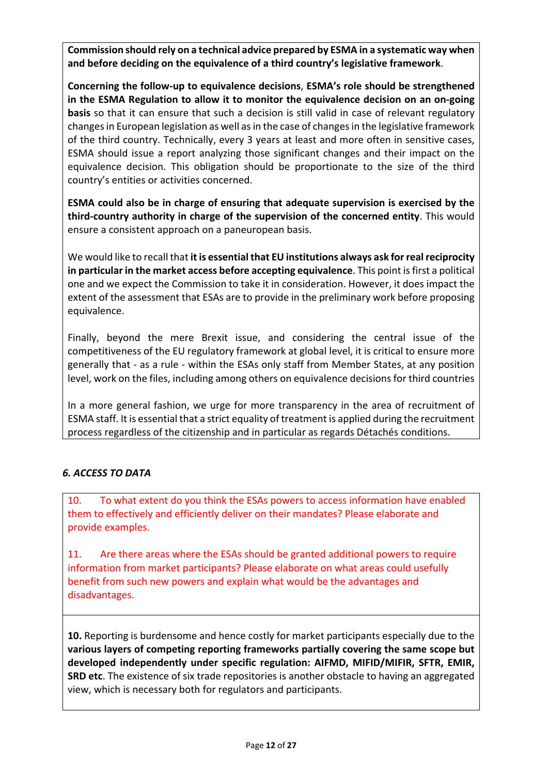**Commission should rely on a technical advice prepared by ESMA in a systematic way when and before deciding on the equivalence of a third country's legislative framework**.

**Concerning the follow‐up to equivalence decisions**, **ESMA's role should be strengthened in the ESMA Regulation to allow it to monitor the equivalence decision on an on‐going basis** so that it can ensure that such a decision is still valid in case of relevant regulatory changes in European legislation as well as in the case of changes in the legislative framework of the third country. Technically, every 3 years at least and more often in sensitive cases, ESMA should issue a report analyzing those significant changes and their impact on the equivalence decision. This obligation should be proportionate to the size of the third country's entities or activities concerned.

**ESMA could also be in charge of ensuring that adequate supervision is exercised by the third‐country authority in charge of the supervision of the concerned entity**. This would ensure a consistent approach on a paneuropean basis.

We would like to recall that **it is essential that EU institutions always ask for real reciprocity in particular in the market access before accepting equivalence**. This point is first a political one and we expect the Commission to take it in consideration. However, it does impact the extent of the assessment that ESAs are to provide in the preliminary work before proposing equivalence.

Finally, beyond the mere Brexit issue, and considering the central issue of the competitiveness of the EU regulatory framework at global level, it is critical to ensure more generally that ‐ as a rule ‐ within the ESAs only staff from Member States, at any position level, work on the files, including among others on equivalence decisions for third countries

In a more general fashion, we urge for more transparency in the area of recruitment of ESMA staff. It is essential that a strict equality of treatment is applied during the recruitment process regardless of the citizenship and in particular as regards Détachés conditions.

### *6. ACCESS TO DATA*

10. To what extent do you think the ESAs powers to access information have enabled them to effectively and efficiently deliver on their mandates? Please elaborate and provide examples.

11. Are there areas where the ESAs should be granted additional powers to require information from market participants? Please elaborate on what areas could usefully benefit from such new powers and explain what would be the advantages and disadvantages.

**10.** Reporting is burdensome and hence costly for market participants especially due to the **various layers of competing reporting frameworks partially covering the same scope but developed independently under specific regulation: AIFMD, MIFID/MIFIR, SFTR, EMIR, SRD etc**. The existence of six trade repositories is another obstacle to having an aggregated view, which is necessary both for regulators and participants.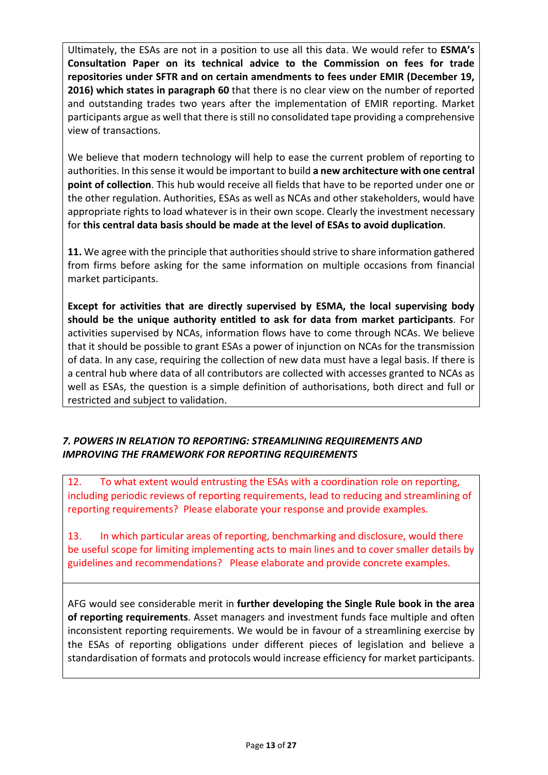Ultimately, the ESAs are not in a position to use all this data. We would refer to **ESMA's Consultation Paper on its technical advice to the Commission on fees for trade repositories under SFTR and on certain amendments to fees under EMIR (December 19, 2016) which states in paragraph 60** that there is no clear view on the number of reported and outstanding trades two years after the implementation of EMIR reporting. Market participants argue as well that there is still no consolidated tape providing a comprehensive view of transactions.

We believe that modern technology will help to ease the current problem of reporting to authorities. In this sense it would be important to build **a new architecture with one central point of collection**. This hub would receive all fields that have to be reported under one or the other regulation. Authorities, ESAs as well as NCAs and other stakeholders, would have appropriate rights to load whatever is in their own scope. Clearly the investment necessary for **this central data basis should be made at the level of ESAs to avoid duplication**.

**11.** We agree with the principle that authorities should strive to share information gathered from firms before asking for the same information on multiple occasions from financial market participants.

**Except for activities that are directly supervised by ESMA, the local supervising body should be the unique authority entitled to ask for data from market participants**. For activities supervised by NCAs, information flows have to come through NCAs. We believe that it should be possible to grant ESAs a power of injunction on NCAs for the transmission of data. In any case, requiring the collection of new data must have a legal basis. If there is a central hub where data of all contributors are collected with accesses granted to NCAs as well as ESAs, the question is a simple definition of authorisations, both direct and full or restricted and subject to validation.

# *7. POWERS IN RELATION TO REPORTING: STREAMLINING REQUIREMENTS AND IMPROVING THE FRAMEWORK FOR REPORTING REQUIREMENTS*

12. To what extent would entrusting the ESAs with a coordination role on reporting, including periodic reviews of reporting requirements, lead to reducing and streamlining of reporting requirements? Please elaborate your response and provide examples.

13. In which particular areas of reporting, benchmarking and disclosure, would there be useful scope for limiting implementing acts to main lines and to cover smaller details by guidelines and recommendations? Please elaborate and provide concrete examples.

AFG would see considerable merit in **further developing the Single Rule book in the area of reporting requirements**. Asset managers and investment funds face multiple and often inconsistent reporting requirements. We would be in favour of a streamlining exercise by the ESAs of reporting obligations under different pieces of legislation and believe a standardisation of formats and protocols would increase efficiency for market participants.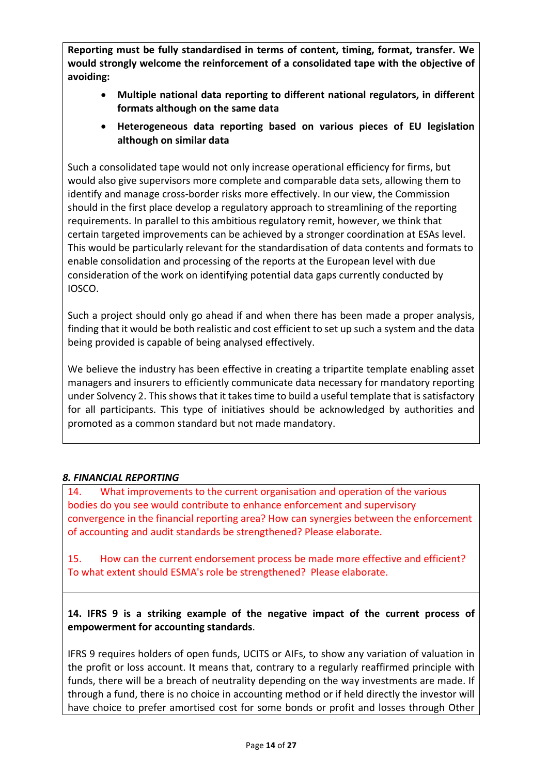**Reporting must be fully standardised in terms of content, timing, format, transfer. We would strongly welcome the reinforcement of a consolidated tape with the objective of avoiding:** 

- **Multiple national data reporting to different national regulators, in different formats although on the same data**
- **Heterogeneous data reporting based on various pieces of EU legislation although on similar data**

Such a consolidated tape would not only increase operational efficiency for firms, but would also give supervisors more complete and comparable data sets, allowing them to identify and manage cross‐border risks more effectively. In our view, the Commission should in the first place develop a regulatory approach to streamlining of the reporting requirements. In parallel to this ambitious regulatory remit, however, we think that certain targeted improvements can be achieved by a stronger coordination at ESAs level. This would be particularly relevant for the standardisation of data contents and formats to enable consolidation and processing of the reports at the European level with due consideration of the work on identifying potential data gaps currently conducted by IOSCO.

Such a project should only go ahead if and when there has been made a proper analysis, finding that it would be both realistic and cost efficient to set up such a system and the data being provided is capable of being analysed effectively.

We believe the industry has been effective in creating a tripartite template enabling asset managers and insurers to efficiently communicate data necessary for mandatory reporting under Solvency 2. This shows that it takes time to build a useful template that is satisfactory for all participants. This type of initiatives should be acknowledged by authorities and promoted as a common standard but not made mandatory.

### *8. FINANCIAL REPORTING*

14. What improvements to the current organisation and operation of the various bodies do you see would contribute to enhance enforcement and supervisory convergence in the financial reporting area? How can synergies between the enforcement of accounting and audit standards be strengthened? Please elaborate.

15. How can the current endorsement process be made more effective and efficient? To what extent should ESMA's role be strengthened? Please elaborate.

**14. IFRS 9 is a striking example of the negative impact of the current process of empowerment for accounting standards**.

IFRS 9 requires holders of open funds, UCITS or AIFs, to show any variation of valuation in the profit or loss account. It means that, contrary to a regularly reaffirmed principle with funds, there will be a breach of neutrality depending on the way investments are made. If through a fund, there is no choice in accounting method or if held directly the investor will have choice to prefer amortised cost for some bonds or profit and losses through Other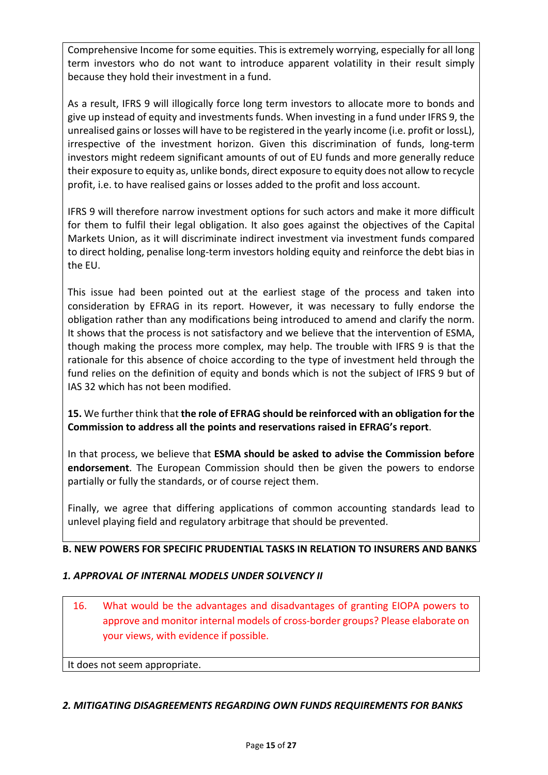Comprehensive Income for some equities. This is extremely worrying, especially for all long term investors who do not want to introduce apparent volatility in their result simply because they hold their investment in a fund.

As a result, IFRS 9 will illogically force long term investors to allocate more to bonds and give up instead of equity and investments funds. When investing in a fund under IFRS 9, the unrealised gains or losses will have to be registered in the yearly income (i.e. profit or lossL), irrespective of the investment horizon. Given this discrimination of funds, long-term investors might redeem significant amounts of out of EU funds and more generally reduce their exposure to equity as, unlike bonds, direct exposure to equity does not allow to recycle profit, i.e. to have realised gains or losses added to the profit and loss account.

IFRS 9 will therefore narrow investment options for such actors and make it more difficult for them to fulfil their legal obligation. It also goes against the objectives of the Capital Markets Union, as it will discriminate indirect investment via investment funds compared to direct holding, penalise long‐term investors holding equity and reinforce the debt bias in the EU.

This issue had been pointed out at the earliest stage of the process and taken into consideration by EFRAG in its report. However, it was necessary to fully endorse the obligation rather than any modifications being introduced to amend and clarify the norm. It shows that the process is not satisfactory and we believe that the intervention of ESMA, though making the process more complex, may help. The trouble with IFRS 9 is that the rationale for this absence of choice according to the type of investment held through the fund relies on the definition of equity and bonds which is not the subject of IFRS 9 but of IAS 32 which has not been modified.

**15.** We further think that **the role of EFRAG should be reinforced with an obligation for the Commission to address all the points and reservations raised in EFRAG's report**.

In that process, we believe that **ESMA should be asked to advise the Commission before endorsement**. The European Commission should then be given the powers to endorse partially or fully the standards, or of course reject them.

Finally, we agree that differing applications of common accounting standards lead to unlevel playing field and regulatory arbitrage that should be prevented.

### **B. NEW POWERS FOR SPECIFIC PRUDENTIAL TASKS IN RELATION TO INSURERS AND BANKS**

### *1. APPROVAL OF INTERNAL MODELS UNDER SOLVENCY II*

16. What would be the advantages and disadvantages of granting EIOPA powers to approve and monitor internal models of cross‐border groups? Please elaborate on your views, with evidence if possible.

It does not seem appropriate.

### *2. MITIGATING DISAGREEMENTS REGARDING OWN FUNDS REQUIREMENTS FOR BANKS*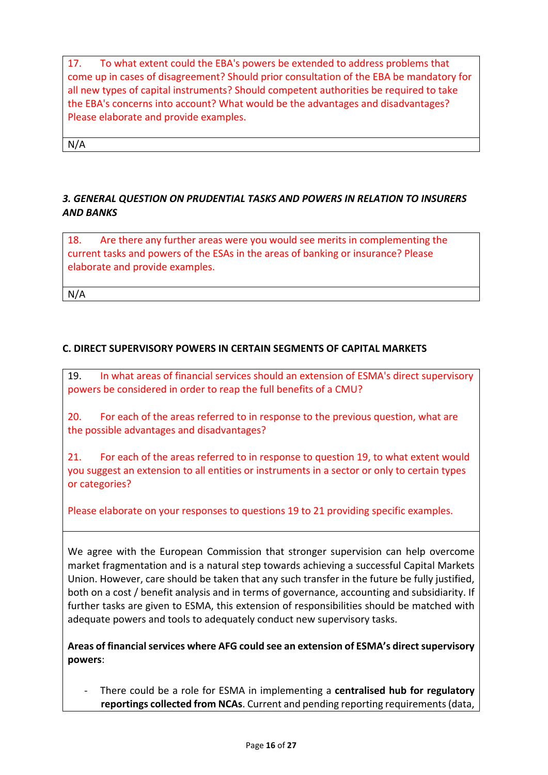17. To what extent could the EBA's powers be extended to address problems that come up in cases of disagreement? Should prior consultation of the EBA be mandatory for all new types of capital instruments? Should competent authorities be required to take the EBA's concerns into account? What would be the advantages and disadvantages? Please elaborate and provide examples.

N/A

# *3. GENERAL QUESTION ON PRUDENTIAL TASKS AND POWERS IN RELATION TO INSURERS AND BANKS*

18. Are there any further areas were you would see merits in complementing the current tasks and powers of the ESAs in the areas of banking or insurance? Please elaborate and provide examples.

N/A

# **C. DIRECT SUPERVISORY POWERS IN CERTAIN SEGMENTS OF CAPITAL MARKETS**

19. In what areas of financial services should an extension of ESMA's direct supervisory powers be considered in order to reap the full benefits of a CMU?

20. For each of the areas referred to in response to the previous question, what are the possible advantages and disadvantages?

21. For each of the areas referred to in response to question 19, to what extent would you suggest an extension to all entities or instruments in a sector or only to certain types or categories?

Please elaborate on your responses to questions 19 to 21 providing specific examples.

We agree with the European Commission that stronger supervision can help overcome market fragmentation and is a natural step towards achieving a successful Capital Markets Union. However, care should be taken that any such transfer in the future be fully justified, both on a cost / benefit analysis and in terms of governance, accounting and subsidiarity. If further tasks are given to ESMA, this extension of responsibilities should be matched with adequate powers and tools to adequately conduct new supervisory tasks.

**Areas of financial services where AFG could see an extension of ESMA's direct supervisory powers**:

‐ There could be a role for ESMA in implementing a **centralised hub for regulatory reportings collected from NCAs**. Current and pending reporting requirements (data,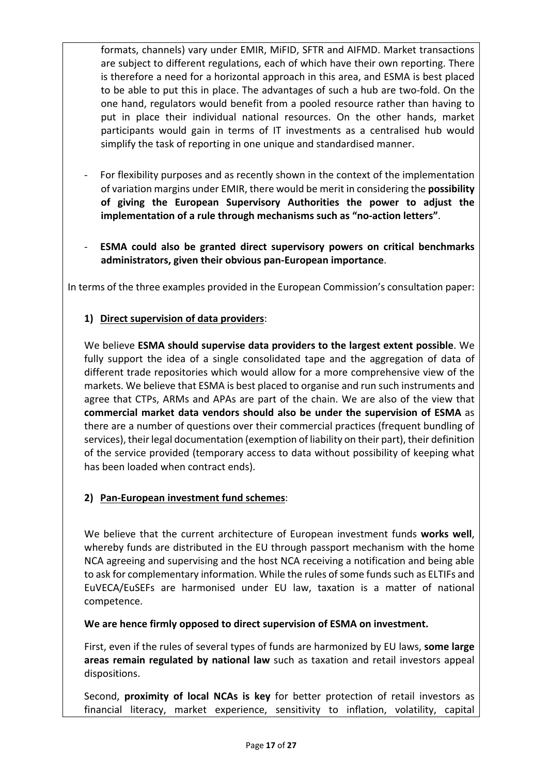formats, channels) vary under EMIR, MiFID, SFTR and AIFMD. Market transactions are subject to different regulations, each of which have their own reporting. There is therefore a need for a horizontal approach in this area, and ESMA is best placed to be able to put this in place. The advantages of such a hub are two‐fold. On the one hand, regulators would benefit from a pooled resource rather than having to put in place their individual national resources. On the other hands, market participants would gain in terms of IT investments as a centralised hub would simplify the task of reporting in one unique and standardised manner.

- ‐ For flexibility purposes and as recently shown in the context of the implementation of variation margins under EMIR, there would be merit in considering the **possibility of giving the European Supervisory Authorities the power to adjust the implementation of a rule through mechanisms such as "no‐action letters"**.
- ‐ **ESMA could also be granted direct supervisory powers on critical benchmarks administrators, given their obvious pan‐European importance**.

In terms of the three examples provided in the European Commission's consultation paper:

# **1) Direct supervision of data providers**:

We believe **ESMA should supervise data providers to the largest extent possible**. We fully support the idea of a single consolidated tape and the aggregation of data of different trade repositories which would allow for a more comprehensive view of the markets. We believe that ESMA is best placed to organise and run such instruments and agree that CTPs, ARMs and APAs are part of the chain. We are also of the view that **commercial market data vendors should also be under the supervision of ESMA** as there are a number of questions over their commercial practices (frequent bundling of services), their legal documentation (exemption of liability on their part), their definition of the service provided (temporary access to data without possibility of keeping what has been loaded when contract ends).

# **2) Pan‐European investment fund schemes**:

We believe that the current architecture of European investment funds works well, whereby funds are distributed in the EU through passport mechanism with the home NCA agreeing and supervising and the host NCA receiving a notification and being able to ask for complementary information. While the rules of some funds such as ELTIFs and EuVECA/EuSEFs are harmonised under EU law, taxation is a matter of national competence.

**We are hence firmly opposed to direct supervision of ESMA on investment.**

First, even if the rules of several types of funds are harmonized by EU laws, **some large areas remain regulated by national law** such as taxation and retail investors appeal dispositions.

Second, **proximity of local NCAs is key**  for better protection of retail investors as financial literacy, market experience, sensitivity to inflation, volatility, capital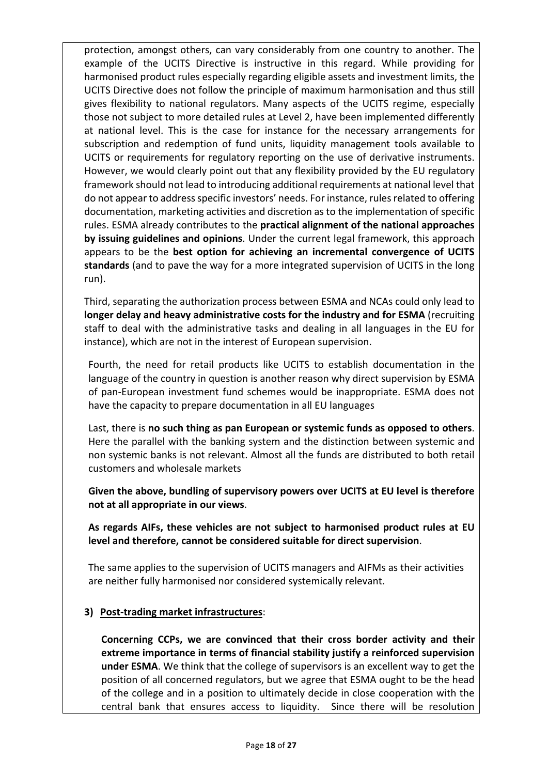protection, amongst others, can vary considerably from one country to another. The example of the UCITS Directive is instructive in this regard. While providing for harmonised product rules especially regarding eligible assets and investment limits, the UCITS Directive does not follow the principle of maximum harmonisation and thus still gives flexibility to national regulators. Many aspects of the UCITS regime, especially those not subject to more detailed rules at Level 2, have been implemented differently at national level. This is the case for instance for the necessary arrangements for subscription and redemption of fund units, liquidity management tools available to UCITS or requirements for regulatory reporting on the use of derivative instruments. However, we would clearly point out that any flexibility provided by the EU regulatory framework should not lead to introducing additional requirements at national level that do not appear to address specific investors' needs. For instance, rules related to offering documentation, marketing activities and discretion as to the implementation of specific rules. ESMA already contributes to the **practical alignment of the national approaches by issuing guidelines and opinions**. Under the current legal framework, this approach appears to be the **best option for achieving an incremental convergence of UCITS standards** (and to pave the way for a more integrated supervision of UCITS in the long run).

Third, separating the authorization process between ESMA and NCAs could only lead to **longer delay and heavy administrative costs for the industry and for ESMA** (recruiting staff to deal with the administrative tasks and dealing in all languages in the EU for instance), which are not in the interest of European supervision.

Fourth, the need for retail products like UCITS to establish documentation in the language of the country in question is another reason why direct supervision by ESMA of pan‐European investment fund schemes would be inappropriate. ESMA does not have the capacity to prepare documentation in all EU languages

Last, there is **no such thing as pan European or systemic funds as opposed to others**. Here the parallel with the banking system and the distinction between systemic and non systemic banks is not relevant. Almost all the funds are distributed to both retail customers and wholesale markets

**Given the above, bundling of supervisory powers over UCITS at EU level is therefore not at all appropriate in our views**.

**As regards AIFs, these vehicles are not subject to harmonised product rules at EU level and therefore, cannot be considered suitable for direct supervision**.

The same applies to the supervision of UCITS managers and AIFMs as their activities are neither fully harmonised nor considered systemically relevant.

### **3) Post‐trading market infrastructures**:

**Concerning CCPs, we are convinced that their cross border activity and their extreme importance in terms of financial stability justify a reinforced supervision under ESMA**. We think that the college of supervisors is an excellent way to get the position of all concerned regulators, but we agree that ESMA ought to be the head of the college and in a position to ultimately decide in close cooperation with the central bank that ensures access to liquidity. Since there will be resolution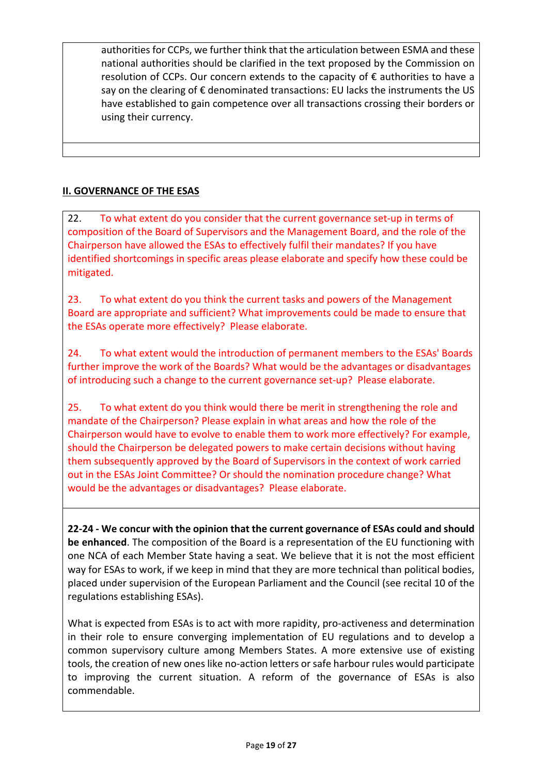authorities for CCPs, we further think that the articulation between ESMA and these national authorities should be clarified in the text proposed by the Commission on resolution of CCPs. Our concern extends to the capacity of € authorities to have a say on the clearing of  $\epsilon$  denominated transactions: EU lacks the instruments the US have established to gain competence over all transactions crossing their borders or using their currency.

# **II. GOVERNANCE OF THE ESAS**

22. To what extent do you consider that the current governance set-up in terms of composition of the Board of Supervisors and the Management Board, and the role of the Chairperson have allowed the ESAs to effectively fulfil their mandates? If you have identified shortcomings in specific areas please elaborate and specify how these could be mitigated.

23. To what extent do you think the current tasks and powers of the Management Board are appropriate and sufficient? What improvements could be made to ensure that the ESAs operate more effectively? Please elaborate.

24. To what extent would the introduction of permanent members to the ESAs' Boards further improve the work of the Boards? What would be the advantages or disadvantages of introducing such a change to the current governance set-up? Please elaborate.

25. To what extent do you think would there be merit in strengthening the role and mandate of the Chairperson? Please explain in what areas and how the role of the Chairperson would have to evolve to enable them to work more effectively? For example, should the Chairperson be delegated powers to make certain decisions without having them subsequently approved by the Board of Supervisors in the context of work carried out in the ESAs Joint Committee? Or should the nomination procedure change? What would be the advantages or disadvantages? Please elaborate.

**22‐24 ‐ We concur with the opinion that the current governance of ESAs could and should be enhanced**. The composition of the Board is a representation of the EU functioning with one NCA of each Member State having a seat. We believe that it is not the most efficient way for ESAs to work, if we keep in mind that they are more technical than political bodies, placed under supervision of the European Parliament and the Council (see recital 10 of the regulations establishing ESAs).

What is expected from ESAs is to act with more rapidity, pro-activeness and determination in their role to ensure converging implementation of EU regulations and to develop a common supervisory culture among Members States. A more extensive use of existing tools, the creation of new ones like no‐action letters or safe harbour rules would participate to improving the current situation. A reform of the governance of ESAs is also commendable.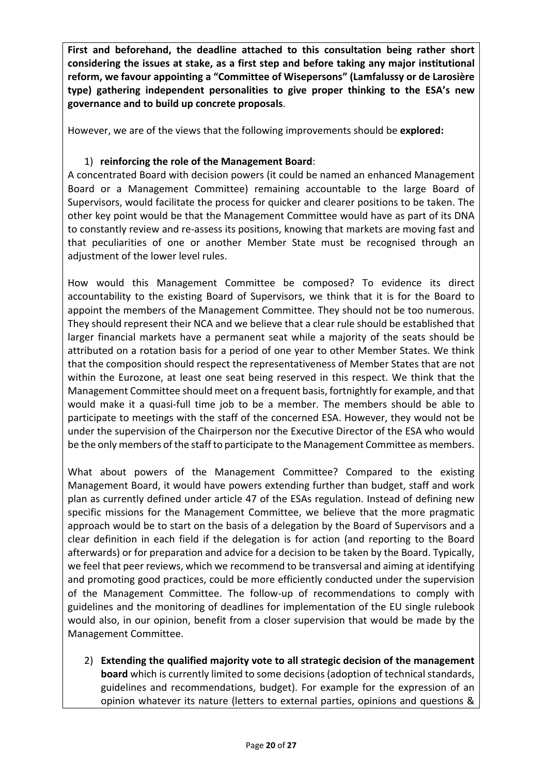**First and beforehand, the deadline attached to this consultation being rather short considering the issues at stake, as a first step and before taking any major institutional reform, we favour appointing a "Committee of Wisepersons" (Lamfalussy or de Larosière type) gathering independent personalities to give proper thinking to the ESA's new governance and to build up concrete proposals**.

However, we are of the views that the following improvements should be **explored:**

#### 1) **reinforcing the role of the Management Board**:

A concentrated Board with decision powers (it could be named an enhanced Management Board or a Management Committee) remaining accountable to the large Board of Supervisors, would facilitate the process for quicker and clearer positions to be taken. The other key point would be that the Management Committee would have as part of its DNA to constantly review and re-assess its positions, knowing that markets are moving fast and that peculiarities of one or another Member State must be recognised through an adjustment of the lower level rules.

How would this Management Committee be composed? To evidence its direct accountability to the existing Board of Supervisors, we think that it is for the Board to appoint the members of the Management Committee. They should not be too numerous. They should represent their NCA and we believe that a clear rule should be established that larger financial markets have a permanent seat while a majority of the seats should be attributed on a rotation basis for a period of one year to other Member States. We think that the composition should respect the representativeness of Member States that are not within the Eurozone, at least one seat being reserved in this respect. We think that the Management Committee should meet on a frequent basis, fortnightly for example, and that would make it a quasi-full time job to be a member. The members should be able to participate to meetings with the staff of the concerned ESA. However, they would not be under the supervision of the Chairperson nor the Executive Director of the ESA who would be the only members of the staff to participate to the Management Committee as members.

What about powers of the Management Committee? Compared to the existing Management Board, it would have powers extending further than budget, staff and work plan as currently defined under article 47 of the ESAs regulation. Instead of defining new specific missions for the Management Committee, we believe that the more pragmatic approach would be to start on the basis of a delegation by the Board of Supervisors and a clear definition in each field if the delegation is for action (and reporting to the Board afterwards) or for preparation and advice for a decision to be taken by the Board. Typically, we feel that peer reviews, which we recommend to be transversal and aiming at identifying and promoting good practices, could be more efficiently conducted under the supervision of the Management Committee. The follow-up of recommendations to comply with guidelines and the monitoring of deadlines for implementation of the EU single rulebook would also, in our opinion, benefit from a closer supervision that would be made by the Management Committee.

2) **Extending the qualified majority vote to all strategic decision of the management board** which is currently limited to some decisions (adoption of technical standards, guidelines and recommendations, budget). For example for the expression of an opinion whatever its nature (letters to external parties, opinions and questions &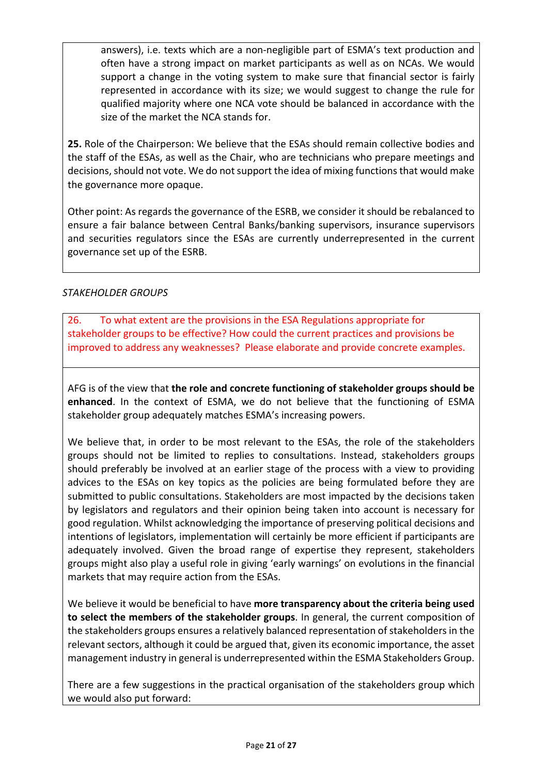answers), i.e. texts which are a non‐negligible part of ESMA's text production and often have a strong impact on market participants as well as on NCAs. We would support a change in the voting system to make sure that financial sector is fairly represented in accordance with its size; we would suggest to change the rule for qualified majority where one NCA vote should be balanced in accordance with the size of the market the NCA stands for.

**25.** Role of the Chairperson: We believe that the ESAs should remain collective bodies and the staff of the ESAs, as well as the Chair, who are technicians who prepare meetings and decisions, should not vote. We do not support the idea of mixing functions that would make the governance more opaque.

Other point: As regards the governance of the ESRB, we consider it should be rebalanced to ensure a fair balance between Central Banks/banking supervisors, insurance supervisors and securities regulators since the ESAs are currently underrepresented in the current governance set up of the ESRB.

### *STAKEHOLDER GROUPS*

26. To what extent are the provisions in the ESA Regulations appropriate for stakeholder groups to be effective? How could the current practices and provisions be improved to address any weaknesses? Please elaborate and provide concrete examples.

AFG is of the view that **the role and concrete functioning of stakeholder groups should be enhanced**. In the context of ESMA, we do not believe that the functioning of ESMA stakeholder group adequately matches ESMA's increasing powers.

We believe that, in order to be most relevant to the ESAs, the role of the stakeholders groups should not be limited to replies to consultations. Instead, stakeholders groups should preferably be involved at an earlier stage of the process with a view to providing advices to the ESAs on key topics as the policies are being formulated before they are submitted to public consultations. Stakeholders are most impacted by the decisions taken by legislators and regulators and their opinion being taken into account is necessary for good regulation. Whilst acknowledging the importance of preserving political decisions and intentions of legislators, implementation will certainly be more efficient if participants are adequately involved. Given the broad range of expertise they represent, stakeholders groups might also play a useful role in giving 'early warnings' on evolutions in the financial markets that may require action from the ESAs.

We believe it would be beneficial to have **more transparency about the criteria being used to select the members of the stakeholder groups**. In general, the current composition of the stakeholders groups ensures a relatively balanced representation of stakeholders in the relevant sectors, although it could be argued that, given its economic importance, the asset management industry in general is underrepresented within the ESMA Stakeholders Group.

There are a few suggestions in the practical organisation of the stakeholders group which we would also put forward: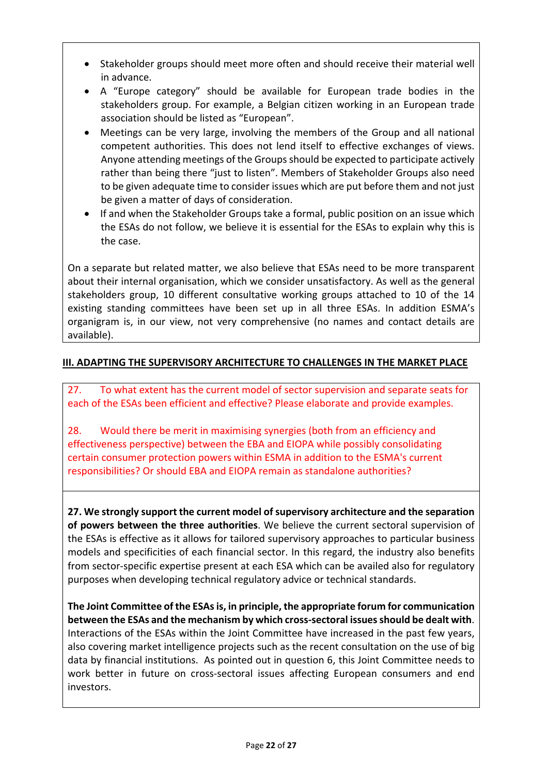- Stakeholder groups should meet more often and should receive their material well in advance.
- A "Europe category" should be available for European trade bodies in the stakeholders group. For example, a Belgian citizen working in an European trade association should be listed as "European".
- Meetings can be very large, involving the members of the Group and all national competent authorities. This does not lend itself to effective exchanges of views. Anyone attending meetings of the Groups should be expected to participate actively rather than being there "just to listen". Members of Stakeholder Groups also need to be given adequate time to consider issues which are put before them and not just be given a matter of days of consideration.
- If and when the Stakeholder Groups take a formal, public position on an issue which the ESAs do not follow, we believe it is essential for the ESAs to explain why this is the case.

On a separate but related matter, we also believe that ESAs need to be more transparent about their internal organisation, which we consider unsatisfactory. As well as the general stakeholders group, 10 different consultative working groups attached to 10 of the 14 existing standing committees have been set up in all three ESAs. In addition ESMA's organigram is, in our view, not very comprehensive (no names and contact details are available).

# **III. ADAPTING THE SUPERVISORY ARCHITECTURE TO CHALLENGES IN THE MARKET PLACE**

27. To what extent has the current model of sector supervision and separate seats for each of the ESAs been efficient and effective? Please elaborate and provide examples.

28. Would there be merit in maximising synergies (both from an efficiency and effectiveness perspective) between the EBA and EIOPA while possibly consolidating certain consumer protection powers within ESMA in addition to the ESMA's current responsibilities? Or should EBA and EIOPA remain as standalone authorities?

**27. We strongly support the current model of supervisory architecture and the separation of powers between the three authorities**. We believe the current sectoral supervision of the ESAs is effective as it allows for tailored supervisory approaches to particular business models and specificities of each financial sector. In this regard, the industry also benefits from sector‐specific expertise present at each ESA which can be availed also for regulatory purposes when developing technical regulatory advice or technical standards.

**The Joint Committee of the ESAs is, in principle, the appropriate forum for communication between the ESAs and the mechanism by which cross‐sectoral issues should be dealt with**. Interactions of the ESAs within the Joint Committee have increased in the past few years, also covering market intelligence projects such as the recent consultation on the use of big data by financial institutions. As pointed out in question 6, this Joint Committee needs to work better in future on cross-sectoral issues affecting European consumers and end investors.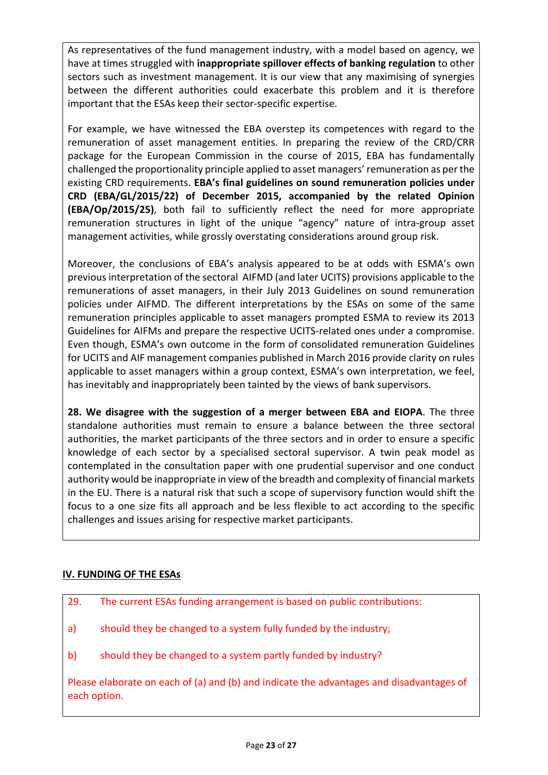As representatives of the fund management industry, with a model based on agency, we have at times struggled with **inappropriate spillover effects of banking regulation** to other sectors such as investment management. It is our view that any maximising of synergies between the different authorities could exacerbate this problem and it is therefore important that the ESAs keep their sector‐specific expertise.

For example, we have witnessed the EBA overstep its competences with regard to the remuneration of asset management entities. In preparing the review of the CRD/CRR package for the European Commission in the course of 2015, EBA has fundamentally challenged the proportionality principle applied to asset managers' remuneration as per the existing CRD requirements. **EBA's final guidelines on sound remuneration policies under CRD (EBA/GL/2015/22) of December 2015, accompanied by the related Opinion (EBA/Op/2015/25)**, both fail to sufficiently reflect the need for more appropriate remuneration structures in light of the unique "agency" nature of intra-group asset management activities, while grossly overstating considerations around group risk.

Moreover, the conclusions of EBA's analysis appeared to be at odds with ESMA's own previous interpretation of the sectoral AIFMD (and later UCITS) provisions applicable to the remunerations of asset managers, in their July 2013 Guidelines on sound remuneration policies under AIFMD. The different interpretations by the ESAs on some of the same remuneration principles applicable to asset managers prompted ESMA to review its 2013 Guidelines for AIFMs and prepare the respective UCITS‐related ones under a compromise. Even though, ESMA's own outcome in the form of consolidated remuneration Guidelines for UCITS and AIF management companies published in March 2016 provide clarity on rules applicable to asset managers within a group context, ESMA's own interpretation, we feel, has inevitably and inappropriately been tainted by the views of bank supervisors.

**28. We disagree with the suggestion of a merger between EBA and EIOPA**. The three standalone authorities must remain to ensure a balance between the three sectoral authorities, the market participants of the three sectors and in order to ensure a specific knowledge of each sector by a specialised sectoral supervisor. A twin peak model as contemplated in the consultation paper with one prudential supervisor and one conduct authority would be inappropriate in view of the breadth and complexity of financial markets in the EU. There is a natural risk that such a scope of supervisory function would shift the focus to a one size fits all approach and be less flexible to act according to the specific challenges and issues arising for respective market participants.

### **IV. FUNDING OF THE ESAs**

| 29. | The current ESAs funding arrangement is based on public contributions: |  |  |  |  |
|-----|------------------------------------------------------------------------|--|--|--|--|
|-----|------------------------------------------------------------------------|--|--|--|--|

- a) should they be changed to a system fully funded by the industry;
- b) should they be changed to a system partly funded by industry?

Please elaborate on each of (a) and (b) and indicate the advantages and disadvantages of each option.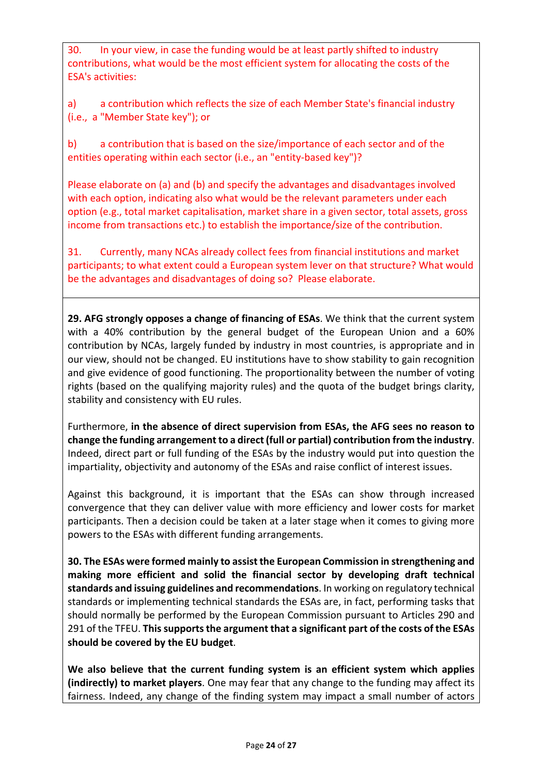30. In your view, in case the funding would be at least partly shifted to industry contributions, what would be the most efficient system for allocating the costs of the ESA's activities:

a) a contribution which reflects the size of each Member State's financial industry (i.e., a "Member State key"); or

b) a contribution that is based on the size/importance of each sector and of the entities operating within each sector (i.e., an "entity‐based key")?

Please elaborate on (a) and (b) and specify the advantages and disadvantages involved with each option, indicating also what would be the relevant parameters under each option (e.g., total market capitalisation, market share in a given sector, total assets, gross income from transactions etc.) to establish the importance/size of the contribution.

31. Currently, many NCAs already collect fees from financial institutions and market participants; to what extent could a European system lever on that structure? What would be the advantages and disadvantages of doing so? Please elaborate.

**29. AFG strongly opposes a change of financing of ESAs**. We think that the current system with a 40% contribution by the general budget of the European Union and a 60% contribution by NCAs, largely funded by industry in most countries, is appropriate and in our view, should not be changed. EU institutions have to show stability to gain recognition and give evidence of good functioning. The proportionality between the number of voting rights (based on the qualifying majority rules) and the quota of the budget brings clarity, stability and consistency with EU rules.

Furthermore, **in the absence of direct supervision from ESAs, the AFG sees no reason to change the funding arrangement to a direct (full or partial) contribution from the industry**. Indeed, direct part or full funding of the ESAs by the industry would put into question the impartiality, objectivity and autonomy of the ESAs and raise conflict of interest issues.

Against this background, it is important that the ESAs can show through increased convergence that they can deliver value with more efficiency and lower costs for market participants. Then a decision could be taken at a later stage when it comes to giving more powers to the ESAs with different funding arrangements.

**30. The ESAs were formed mainly to assist the European Commission in strengthening and making more efficient and solid the financial sector by developing draft technical standards and issuing guidelines and recommendations**. In working on regulatory technical standards or implementing technical standards the ESAs are, in fact, performing tasks that should normally be performed by the European Commission pursuant to Articles 290 and 291 of the TFEU. **This supports the argument that a significant part of the costs of the ESAs should be covered by the EU budget**.

**We also believe that the current funding system is an efficient system which applies (indirectly) to market players**. One may fear that any change to the funding may affect its fairness. Indeed, any change of the finding system may impact a small number of actors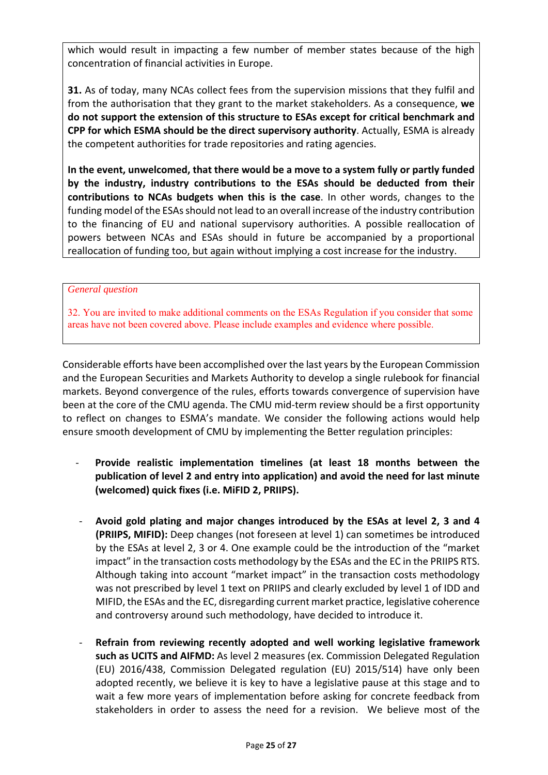which would result in impacting a few number of member states because of the high concentration of financial activities in Europe.

**31.** As of today, many NCAs collect fees from the supervision missions that they fulfil and from the authorisation that they grant to the market stakeholders. As a consequence, **we do not support the extension of this structure to ESAs except for critical benchmark and CPP for which ESMA should be the direct supervisory authority**. Actually, ESMA is already the competent authorities for trade repositories and rating agencies.

**In the event, unwelcomed, that there would be a move to a system fully or partly funded by the industry, industry contributions to the ESAs should be deducted from their contributions to NCAs budgets when this is the case**. In other words, changes to the funding model of the ESAs should not lead to an overall increase of the industry contribution to the financing of EU and national supervisory authorities. A possible reallocation of powers between NCAs and ESAs should in future be accompanied by a proportional reallocation of funding too, but again without implying a cost increase for the industry.

#### *General question*

32. You are invited to make additional comments on the ESAs Regulation if you consider that some areas have not been covered above. Please include examples and evidence where possible.

Considerable efforts have been accomplished over the last years by the European Commission and the European Securities and Markets Authority to develop a single rulebook for financial markets. Beyond convergence of the rules, efforts towards convergence of supervision have been at the core of the CMU agenda. The CMU mid-term review should be a first opportunity to reflect on changes to ESMA's mandate. We consider the following actions would help ensure smooth development of CMU by implementing the Better regulation principles:

- ‐ **Provide realistic implementation timelines (at least 18 months between the publication of level 2 and entry into application) and avoid the need for last minute (welcomed) quick fixes (i.e. MiFID 2, PRIIPS).**
- ‐ **Avoid gold plating and major changes introduced by the ESAs at level 2, 3 and 4 (PRIIPS, MIFID):** Deep changes (not foreseen at level 1) can sometimes be introduced by the ESAs at level 2, 3 or 4. One example could be the introduction of the "market impact" in the transaction costs methodology by the ESAs and the EC in the PRIIPS RTS. Although taking into account "market impact" in the transaction costs methodology was not prescribed by level 1 text on PRIIPS and clearly excluded by level 1 of IDD and MIFID, the ESAs and the EC, disregarding current market practice, legislative coherence and controversy around such methodology, have decided to introduce it.
- ‐ **Refrain from reviewing recently adopted and well working legislative framework such as UCITS and AIFMD:** As level 2 measures (ex. Commission Delegated Regulation (EU) 2016/438, Commission Delegated regulation (EU) 2015/514) have only been adopted recently, we believe it is key to have a legislative pause at this stage and to wait a few more years of implementation before asking for concrete feedback from stakeholders in order to assess the need for a revision. We believe most of the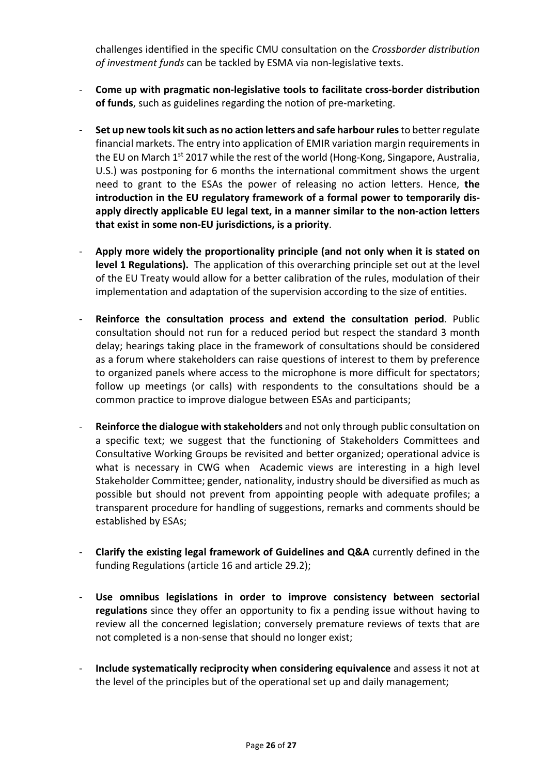challenges identified in the specific CMU consultation on the *Crossborder distribution of investment funds* can be tackled by ESMA via non‐legislative texts.

- ‐ **Come up with pragmatic non‐legislative tools to facilitate cross‐border distribution of funds**, such as guidelines regarding the notion of pre‐marketing.
- ‐ **Set up new tools kit such as no action letters and safe harbour rules** to better regulate financial markets. The entry into application of EMIR variation margin requirements in the EU on March 1<sup>st</sup> 2017 while the rest of the world (Hong-Kong, Singapore, Australia, U.S.) was postponing for 6 months the international commitment shows the urgent need to grant to the ESAs the power of releasing no action letters. Hence, **the introduction in the EU regulatory framework of a formal power to temporarily dis‐ apply directly applicable EU legal text, in a manner similar to the non‐action letters that exist in some non‐EU jurisdictions, is a priority**.
- ‐ **Apply more widely the proportionality principle (and not only when it is stated on level 1 Regulations).**  The application of this overarching principle set out at the level of the EU Treaty would allow for a better calibration of the rules, modulation of their implementation and adaptation of the supervision according to the size of entities.
- ‐ **Reinforce the consultation process and extend the consultation period**. Public consultation should not run for a reduced period but respect the standard 3 month delay; hearings taking place in the framework of consultations should be considered as a forum where stakeholders can raise questions of interest to them by preference to organized panels where access to the microphone is more difficult for spectators; follow up meetings (or calls) with respondents to the consultations should be a common practice to improve dialogue between ESAs and participants;
- ‐ **Reinforce the dialogue with stakeholders** and not only through public consultation on a specific text; we suggest that the functioning of Stakeholders Committees and Consultative Working Groups be revisited and better organized; operational advice is what is necessary in CWG when Academic views are interesting in a high level Stakeholder Committee; gender, nationality, industry should be diversified as much as possible but should not prevent from appointing people with adequate profiles; a transparent procedure for handling of suggestions, remarks and comments should be established by ESAs;
- ‐ **Clarify the existing legal framework of Guidelines and Q&A** currently defined in the funding Regulations (article 16 and article 29.2);
- ‐ **Use omnibus legislations in order to improve consistency between sectorial regulations** since they offer an opportunity to fix a pending issue without having to review all the concerned legislation; conversely premature reviews of texts that are not completed is a non‐sense that should no longer exist;
- ‐ **Include systematically reciprocity when considering equivalence** and assess it not at the level of the principles but of the operational set up and daily management;